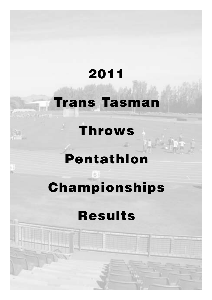## **2011**

## **Trans Tasman**

## **Throws**

 $\mathcal{L} = \mathcal{L} \times \mathcal{L}$ 

## **Pentathlon**

# **Championships**

## **Results**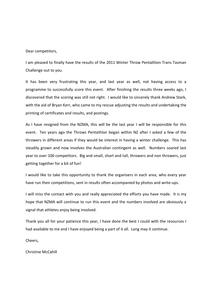#### Dear competitors,

I am pleased to finally have the results of the 2011 Winter Throw Pentathlon Trans Tasman Challenge out to you.

It has been very frustrating this year, and last year as well, not having access to a programme to successfully score this event. After finishing the results three weeks ago, I discovered that the scoring was still not right. I would like to sincerely thank Andrew Stark, with the aid of Bryan Kerr, who came to my rescue adjusting the results and undertaking the printing of certificates and results, and postings.

As I have resigned from the NZMA, this will be the last year I will be responsible for this event. Ten years ago the Throws Pentathlon began within NZ after I asked a few of the throwers in different areas if they would be interest in having a winter challenge. This has steadily grown and now involves the Australian contingent as well. Numbers soared last year to over 100 competitors. Big and small, short and tall, throwers and non throwers, just getting together for a bit of fun!

I would like to take this opportunity to thank the organisers in each area, who every year have run their competitions, sent in results often accompanied by photos and write-ups.

I will miss the contact with you and really appreciated the efforts you have made. It is my hope that NZMA will continue to run this event and the numbers involved are obviously a signal that athletes enjoy being involved.

Thank you all for your patience this year, I have done the best I could with the resources I had available to me and I have enjoyed being a part of it all. Long may it continue.

Cheers,

Christine McCahill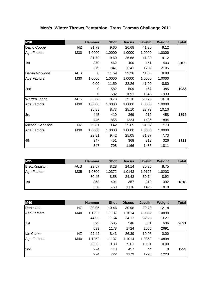### **Men's Winter Throws Pentathlon Trans Tasman Challange 2011**

| <b>M30</b>          |            | <b>Hammer</b> | <b>Shot</b> | <b>Discus</b> | <b>Javelin</b> | Weight | <b>Total</b> |
|---------------------|------------|---------------|-------------|---------------|----------------|--------|--------------|
| David Cooper        | NZ.        | 31.79         | 9.60        | 26.68         | 41.30          | 9.12   |              |
| Age Factors         | M30        | 1.0000        | 1.0000      | 1.0000        | 1.0000         | 1.0000 |              |
|                     |            | 31.79         | 9.60        | 26.68         | 41.30          | 9.12   |              |
| 1st                 |            | 379           | 462         | 400           | 461            | 403    | 2105         |
|                     |            | 379           | 841         | 1241          | 1702           | 2105   |              |
| Darrin Norwood      | <b>AUS</b> | 0             | 11.59       | 32.26         | 41.00          | 8.80   |              |
| Age Factors         | M30        | 1.0000        | 1.0000      | 1.0000        | 1.0000         | 1.0000 |              |
|                     |            | 0.00          | 11.59       | 32.26         | 41.00          | 8.80   |              |
| 2nd                 |            | 0             | 582         | 509           | 457            | 385    | 1933         |
|                     |            | 0             | 582         | 1091          | 1548           | 1933   |              |
| <b>Warren Jones</b> | <b>AUS</b> | 35.88         | 8.73        | 25.10         | 23.73          | 10.10  |              |
| Age Factors         | M30        | 1.0000        | 1.0000      | 1.0000        | 1.0000         | 1.0000 |              |
|                     |            | 35.88         | 8.73        | 25.10         | 23.73          | 10.10  |              |
| 3rd                 |            | 445           | 410         | 369           | 212            | 458    | 1894         |
|                     |            | 445           | 855         | 1224          | 1436           | 1894   |              |
| Michael Scholten    | NZ         | 29.81         | 9.42        | 25.05         | 31.37          | 7.73   |              |
| Age Factors         | M30        | 1.0000        | 1.0000      | 1.0000        | 1.0000         | 1.0000 |              |
|                     |            | 29.81         | 9.42        | 25.05         | 31.37          | 7.73   |              |
| 4th                 |            | 347           | 451         | 368           | 319            | 326    | 1811         |
|                     |            | 347           | 798         | 1166          | 1485           | 1811   |              |

| <b>M35</b>            |     | <b>Hammer</b> | <b>Shot</b> | <b>Discus</b> | <b>Javelin</b> | Weight | Total |
|-----------------------|-----|---------------|-------------|---------------|----------------|--------|-------|
| <b>Brett Kingston</b> | AUS | 29.57         | 8.28        | 24.14         | 30.36          | 8.75   |       |
| Age Factors           | M35 | 1.0300        | 1.0372      | 1.0143        | 1.0126         | 1.0203 |       |
|                       |     | 30.45         | 8.58        | 24.48         | 30.74          | 8.92   |       |
| 1st                   |     | 358           | 401         | 357           | 310            | 392    | 1818  |
|                       |     | 358           | 759         | 1116          | 1426           | 1818   |       |

| <b>M40</b>  |     | <b>Hammer</b> | <b>Shot</b> | <b>Discus</b> | <b>Javelin</b> | Weight | <b>Total</b> |
|-------------|-----|---------------|-------------|---------------|----------------|--------|--------------|
| Rene Otto   | NZ  | 39.95         | 10.46       | 30.98         | 29.70          | 12.18  |              |
| Age Factors | M40 | 1.1252        | 1.1137      | 1.1014        | 1.0862         | 1.0898 |              |
|             |     | 44.95         | 11.64       | 34.12         | 32.26          | 13.27  |              |
| 1st         |     | 593           | 585         | 546           | 331            | 636    | 2691         |
|             |     | 593           | 1178        | 1724          | 2055           | 2691   |              |
| lan Clarke  | NZ  | 22.42         | 8.43        | 26.89         | 10.05          | 0.00   |              |
| Age Factors | M40 | 1.1252        | 1.1137      | 1.1014        | 1.0862         | 1.0898 |              |
|             |     | 25.22         | 9.38        | 29.61         | 10.91          | 0.00   |              |
| 2nd         |     | 274           | 448         | 457           | 44             | 0      | 1223         |
|             |     | 274           | 722         | 1179          | 1223           | 1223   |              |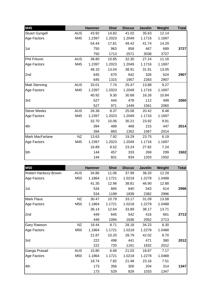| M45                   |            | <b>Hammer</b> | <b>Shot</b> | <b>Discus</b> | <b>Javelin</b> | Weight | <b>Total</b> |
|-----------------------|------------|---------------|-------------|---------------|----------------|--------|--------------|
| <b>Stuart Gyngell</b> | <b>AUS</b> | 43.92         | 14.82       | 41.02         | 35.63          | 12.14  |              |
| Age Factors           | M45        | 1.2397        | 1.2023      | 1.2049        | 1.1716         | 1.1697 |              |
|                       |            | 54.44         | 17.81       | 49.42         | 41.74          | 14.20  |              |
| 1st                   |            | 750           | 963         | 858           | 467            | 689    | 3727         |
|                       |            | 750           | 1713        | 2571          | 3038           | 3727   |              |
| Phil Frkovic          | <b>AUS</b> | 38.80         | 10.85       | 32.30         | 27.24          | 11.16  |              |
| Age Factors           | M45        | 1.2397        | 1.2023      | 1.2049        | 1.1716         | 1.1697 |              |
|                       |            | 48.10         | 13.04       | 38.91         | 31.91          | 13.05  |              |
| 2nd                   |            | 645           | 670         | 642           | 326            | 624    | 2907         |
|                       |            | 645           | 1315        | 1957          | 2283           | 2907   |              |
| Matt Stenning         | <b>AUS</b> | 33.01         | 7.74        | 25.47         | 13.88          | 9.27   |              |
| Age Factors           | M45        | 1.2397        | 1.2023      | 1.2049        | 1.1716         | 1.1697 |              |
|                       |            | 40.92         | 9.30        | 30.68         | 16.26          | 10.84  |              |
| 3rd                   |            | 527           | 444         | 478           | 112            | 499    | 2060         |
|                       |            | 527           | 971         | 1449          | 1561           | 2060   |              |
| <b>Steve Weeks</b>    | <b>AUS</b> | 26.38         | 8.37        | 25.08         | 20.42          | 8.48   |              |
| Age Factors           | M45        | 1.2397        | 1.2023      | 1.2049        | 1.1716         | 1.1697 |              |
|                       |            | 32.70         | 10.06       | 30.21         | 23.92          | 9.91   |              |
| 4th                   |            | 394           | 489         | 469           | 215            | 447    | 2014         |
|                       |            | 394           | 883         | 1352          | 1567           | 2014   |              |
| Mark MacFarlane       | <b>NZ</b>  | 13.63         | 7.92        | 19.29         | 23.75          | 6.19   |              |
| Age Factors           | M45        | 1.2397        | 1.2023      | 1.2049        | 1.1716         | 1.1697 |              |
|                       |            | 16.89         | 9.52        | 23.24         | 27.82          | 7.24   |              |
| 5th                   |            | 144           | 457         | 333           | 269            | 299    | 1502         |
|                       |            | 144           | 601         | 934           | 1203           | 1502   |              |

| <b>M50</b>           |            | <b>Hammer</b> | <b>Shot</b> | <b>Discus</b> | <b>Javelin</b> | Weight | <b>Total</b> |
|----------------------|------------|---------------|-------------|---------------|----------------|--------|--------------|
| Robert Hanbury-Brown | <b>AUS</b> | 34.86         | 11.06       | 37.99         | 38.20          | 12.29  |              |
| Age Factors          | M50        | 1.1864        | 1.1721      | 1.0218        | 1.2278         | 1.0488 |              |
|                      |            | 41.35         | 12.96       | 38.81         | 46.90          | 12.88  |              |
| 1st                  |            | 534           | 665         | 640           | 543            | 614    | 2996         |
|                      |            | 534           | 1199        | 1839          | 2382           | 2996   |              |
| Mark Flaus           | NZ         | 30.47         | 10.79       | 33.17         | 31.09          | 13.08  |              |
| Age Factors          | M50        | 1.1864        | 1.1721      | 1.0218        | 1.2278         | 1.0488 |              |
|                      |            | 36.14         | 12.64       | 33.89         | 38.17          | 13.71  |              |
| 2nd                  |            | 449           | 645         | 542           | 416            | 661    | 2713         |
|                      |            | 449           | 1094        | 1636          | 2052           | 2713   |              |
| Gary Rawson          | NZ         | 18.44         | 8.71        | 28.18         | 34.23          | 8.30   |              |
| Age Factors          | M50        | 1.1864        | 1.1721      | 1.0218        | 1.2278         | 1.0488 |              |
|                      |            | 21.87         | 10.20       | 28.79         | 42.02          | 8.70   |              |
| 3rd                  |            | 222           | 498         | 441           | 471            | 380    | 2012         |
|                      |            | 222           | 720         | 1161          | 1632           | 2012   |              |
| Ganga Prasad         | <b>AUS</b> | 15.80         | 6.68        | 21.03         | 18.87          | 7.17   |              |
| Age Factors          | M50        | 1.1864        | 1.1721      | 1.0218        | 1.2278         | 1.0488 |              |
|                      |            | 18.74         | 7.82        | 21.48         | 23.16          | 7.51   |              |
| 4th                  |            | 173           | 356         | 300           | 204            | 314    | 1347         |
|                      |            | 173           | 529         | 829           | 1033           | 1347   |              |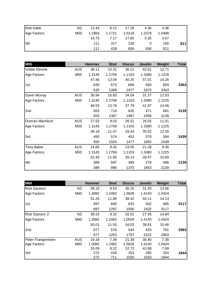| Rob Dabb    | NZ  | 12.44  | 6.12   | 17.28  | 4.36   | 4.36   |     |
|-------------|-----|--------|--------|--------|--------|--------|-----|
| Age Factors | M50 | 1.1864 | 1.1721 | 1.0218 | 1.2278 | 1.0488 |     |
|             |     | 14.75  | 7.17   | 17.65  | 5.35   | 4.57   |     |
| 5th         |     | 111    | 317    | 228    |        | 155    | 811 |
|             |     | 111    | 428    | 656    | 656    | 811    |     |

| <b>M55</b>            |            | <b>Hammer</b> | <b>Shot</b> | <b>Discus</b> | <b>Javelin</b> | Weight | <b>Total</b> |
|-----------------------|------------|---------------|-------------|---------------|----------------|--------|--------------|
| <b>Voltek Klimink</b> | <b>AUS</b> | 36.11         | 10.31       | 36.21         | 42.61          | 12.71  |              |
| Age Factors           | M55        | 1.3145        | 1.2706      | 1.1103        | 1.3380         | 1.1225 |              |
|                       |            | 47.46         | 13.09       | 40.20         | 57.01          | 14.26  |              |
| 1st                   |            | 635           | 673         | 669           | 693            | 693    | 3363         |
|                       |            | 635           | 1308        | 1977          | 2670           | 3363   |              |
| Gavin Murray          | <b>AUS</b> | 36.94         | 10.83       | 34.04         | 31.37          | 12.53  |              |
| Age Factors           | M55        | 1.3145        | 1.2706      | 1.1103        | 1.3380         | 1.1225 |              |
|                       |            | 48.55         | 13.76       | 37.79         | 41.97          | 14.06  |              |
| 2nd                   |            | 653           | 714         | 620           | 471            | 681    | 3139         |
|                       |            | 653           | 1367        | 1987          | 2458           | 3139   |              |
| Duncan MacNicol       | <b>AUS</b> | 27.53         | 9.03        | 26.51         | 26.55          | 11.01  |              |
| Age Factors           | M55        | 1.3145        | 1.2706      | 1.1103        | 1.3380         | 1.1225 |              |
|                       |            | 36.18         | 11.47       | 29.43         | 35.52          | 12.35  |              |
| 3rd                   |            | 450           | 574         | 453           | 378            | 584    | 2439         |
|                       |            | 450           | 1024        | 1477          | 1855           | 2439   |              |
| Tony Baker            | <b>AUS</b> | 24.65         | 9.33        | 23.55         | 21.28          | 9.45   |              |
| Age Factors           | M55        | 1.3145        | 1.2706      | 1.1103        | 1.3380         | 1.1225 |              |
|                       |            | 32.40         | 11.85       | 26.14         | 28.47          | 10.60  |              |
| 4th                   |            | 389           | 597         | 389           | 278            | 486    | 2139         |
|                       |            | 389           | 986         | 1375          | 1653           | 2139   |              |

| <b>M60</b>            |            | <b>Hammer</b> | <b>Shot</b> | <b>Discus</b> | <b>Javelin</b> | Weight | <b>Total</b> |
|-----------------------|------------|---------------|-------------|---------------|----------------|--------|--------------|
| <b>Rick Davison</b>   | NZ.        | 39.19         | 9.53        | 36.15         | 31.20          | 13.56  |              |
| Age Factors           | M60        | 1.3082        | 1.2482      | 1.0628        | 1.4140         | 1.0424 |              |
|                       |            | 51.26         | 11.89       | 38.42         | 44.11          | 14.13  |              |
| 1st                   |            | 697           | 600         | 633           | 502            | 685    | 3117         |
|                       |            | 697           | 1297        | 1930          | 2432           | 3117   |              |
| <b>Rick Davison 2</b> | NZ         | 38.23         | 9.22        | 32.01         | 27.45          | 14.84  |              |
| Age Factors           | M60        | 1.3082        | 1.2482      | 1.0628        | 1.4140         | 1.0424 |              |
|                       |            | 50.01         | 11.50       | 34.02         | 38.81          | 15.46  |              |
| 2nd                   |            | 677           | 576         | 544           | 425            | 761    | 2983         |
|                       |            | 677           | 1253        | 1797          | 2222           | 2983   |              |
| Peter Frangenheim     | <b>AUS</b> | 19.18         | 7.39        | 21.39         | 30.40          | 7.38   |              |
| Age Factors           | M60        | 1.3082        | 1.2482      | 1.0628        | 1.4140         | 1.0424 |              |
|                       |            | 25.09         | 9.22        | 22.73         | 42.98          | 7.69   |              |
| 3rd                   |            | 272           | 439         | 324           | 485            | 324    | 1844         |
|                       |            | 272           | 711         | 1035          | 1520           | 1844   |              |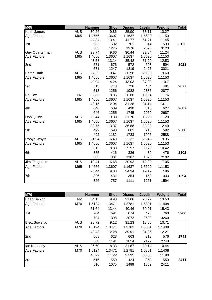| M65                   |            | <b>Hammer</b> | <b>Shot</b> | <b>Discus</b> | <b>Javelin</b> | Weight | <b>Total</b> |
|-----------------------|------------|---------------|-------------|---------------|----------------|--------|--------------|
| Keith James           | <b>AUS</b> | 30.26         | 9.86        | 35.90         | 33.11          | 10.27  |              |
| Age Factors           | M65        | 1.4656        | 1.3607      | 1.1637        | 1.5620         | 1.1153 |              |
|                       |            | 44.34         | 13.41       | 41.77         | 51.71          | 11.45  |              |
| 1st                   |            | 583           | 692         | 701           | 614            | 533    | 3123         |
|                       |            | 583           | 1275        | 1976          | 2590           | 3123   |              |
| <b>Guy Quarterman</b> | <b>AUS</b> | 29.74         | 9.66        | 30.44         | 32.84          | 11.24  |              |
| Age Factors           | M65        | 1.4656        | 1.3607      | 1.1637        | 1.5620         | 1.1153 |              |
|                       |            | 43.58         | 13.14       | 35.42         | 51.29          | 12.53  |              |
| 2nd                   |            | 571           | 676         | 572           | 608            | 594    | 3021         |
|                       |            | 571           | 1247        | 1819          | 2427           | 3021   |              |
| Peter Clark           | <b>AUS</b> | 27.32         | 10.47       | 36.98         | 23.90          | 9.60   |              |
| Age Factors           | M65        | 1.4656        | 1.3607      | 1.1637        | 1.5620         | 1.1153 |              |
|                       |            | 40.04         | 14.24       | 43.03         | 37.33          | 10.7   |              |
| 3rd                   |            | 513           | 743         | 726           | 404            | 491    | 2877         |
|                       |            | 513           | 1256        | 1982          | 2386           | 2877   |              |
| Bo Cox                | <b>NZ</b>  | 32.86         | 8.85        | 26.88         | 19.94          | 11.76  |              |
| Age Factors           | M65        | 1.4656        | 1.3607      | 1.1637        | 1.5620         | 1.1153 |              |
|                       |            | 48.15         | 12.04       | 31.28         | 31.14          | 13.11  |              |
| 4th                   |            | 646           | 609         | 490           | 315            | 627    | 2687         |
|                       |            | 646           | 1255        | 1745          | 2060           | 2687   |              |
| Don Quinn             | <b>AUS</b> | 26.44         | 9.83        | 31.70         | 15.26          | 11.20  |              |
| Age Factors           | M65        | 1.4656        | 1.3607      | 1.1637        | 1.5620         | 1.1153 |              |
|                       |            | 38.75         | 13.37       | 36.88         | 23.83          | 12.49  |              |
| 5th                   |            | 492           | 690         | 601           | 213            | 592    | 2588         |
|                       |            | 492           | 1182        | 1783          | 1996           | 2588   |              |
| Robyn Whyte           | <b>AUS</b> | 21.94         | 6.49        | 22.32         | 25.48          | 9.35   |              |
| Age Factors           | M65        | 1.4656        | 1.3607      | 1.1637        | 1.5620         | 1.1153 |              |
|                       |            | 32.15         | 8.83        | 25.97         | 39.79          | 10.42  |              |
| 6th                   |            | 385           | 416         | 386           | 439            | 476    | 2102         |
|                       |            | 385           | 801         | 1187          | 1626           | 2102   |              |
| Jim Fitzgerald        | <b>AUS</b> | 19.41         | 6.68        | 20.92         | 12.29          | 7.05   |              |
| Age Factors           | M65        | 1.4656        | 1.3607      | 1.1637        | 1.5620         | 1.1153 |              |
|                       |            | 28.44         | 9.08        | 24.34         | 19.19          | 7.86   |              |
| 7th                   |            | 326           | 431         | 354           | 150            | 333    | 1594         |
|                       |            | 326           | 757         | 1111          | 1261           | 1594   |              |

| <b>M70</b>           |            | <b>Hammer</b> | <b>Shot</b> | <b>Discus</b> | <b>Javelin</b> | Weight | <b>Total</b> |
|----------------------|------------|---------------|-------------|---------------|----------------|--------|--------------|
| <b>Brian Senior</b>  | NZ.        | 34.15         | 9.98        | 31.66         | 23.22          | 13.53  |              |
| Age Factors          | M70        | 1.5124        | 1.3471      | 1.2781        | 1.6801         | 1.1408 |              |
|                      |            | 51.64         | 13.44       | 40.46         | 39.01          | 15.43  |              |
| 1st                  |            | 704           | 694         | 674           | 428            | 760    | 3260         |
|                      |            | 704           | 1398        | 2072          | 2500           | 3260   |              |
| <b>Brett Sowerby</b> | <b>AUS</b> | 28.72         | 9.12        | 31.23         | 18.66          | 10.71  |              |
| Age Factors          | M70        | 1.5124        | 1.3471      | 1.2781        | 1.6801         | 1.1408 |              |
|                      |            | 43.43         | 12.28       | 39.91         | 31.35          | 12.21  |              |
| 2nd                  |            | 568           | 623         | 663           | 318            | 576    | 2748         |
|                      |            | 568           | 1191        | 1854          | 2172           | 2748   |              |
| lan Kennedy          | <b>AUS</b> | 26.60         | 8.33        | 21.87         | 20.14          | 10.44  |              |
| Age Factors          | M70        | 1.5124        | 1.3471      | 1.2781        | 1.6801         | 1.1408 |              |
|                      |            | 40.22         | 11.22       | 27.95         | 33.83          | 11.90  |              |
| 3rd                  |            | 516           | 559         | 424           | 353            | 559    | 2411         |
|                      |            | 516           | 1075        | 1499          | 1852           | 2411   |              |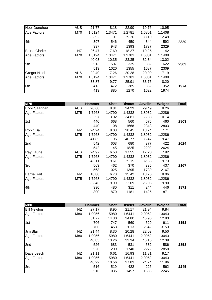| <b>Noel Donohoe</b> | <b>AUS</b> | 21.77  | 8.18   | 22.90  | 19.76  | 10.95  |      |
|---------------------|------------|--------|--------|--------|--------|--------|------|
| Age Factors         | M70        | 1.5124 | 1.3471 | 1.2781 | 1.6801 | 1.1408 |      |
|                     |            | 32.92  | 11.01  | 29.26  | 33.19  | 12.49  |      |
| 4th                 |            | 397    | 546    | 450    | 344    | 592    | 2329 |
|                     |            | 397    | 943    | 1393   | 1737   | 2329   |      |
| <b>Bruce Clarke</b> | <b>NZ</b>  | 26.47  | 7.69   | 18.27  | 19.25  | 11.42  |      |
| Age Factors         | M70        | 1.5124 | 1.3471 | 1.2781 | 1.6801 | 1.1408 |      |
|                     |            | 40.03  | 10.35  | 23.35  | 32.34  | 13.02  |      |
| 5th                 |            | 513    | 507    | 335    | 332    | 622    | 2309 |
|                     |            | 513    | 1020   | 1355   | 1687   | 2309   |      |
| <b>Gregor Nicol</b> | <b>AUS</b> | 22.40  | 7.26   | 20.28  | 20.09  | 7.19   |      |
| Age Factors         | M70        | 1.5124 | 1.3471 | 1.2781 | 1.6801 | 1.1408 |      |
|                     |            | 33.87  | 9.77   | 25.91  | 33.75  | 8.20   |      |
| 6th                 |            | 413    | 472    | 385    | 352    | 352    | 1974 |
|                     |            | 413    | 885    | 1270   | 1622   | 1974   |      |

| <b>M75</b>         |            | <b>Hammer</b> | <b>Shot</b> | <b>Discus</b> | <b>Javelin</b> | Weight | <b>Total</b> |
|--------------------|------------|---------------|-------------|---------------|----------------|--------|--------------|
| Erkki Saarinan     | <b>AUS</b> | 20.60         | 8.81        | 24.29         | 29.49          | 8.26   |              |
| Age Factors        | M75        | 1.7268        | 1.4790      | 1.4332        | 1.8932         | 1.2286 |              |
|                    |            | 35.57         | 13.02       | 34.81         | 55.83          | 10.14  |              |
| 1st                |            | 440           | 668         | 560           | 675            | 460    | 2803         |
|                    |            | 440           | 1108        | 1668          | 2343           | 2803   |              |
| Robin Ball         | ΝZ         | 24.24         | 8.08        | 28.45         | 18.74          | 7.71   |              |
| Age Factors        | M75        | 1.7268        | 1.4790      | 1.4332        | 1.8932         | 1.2286 |              |
|                    |            | 41.85         | 11.95       | 40.77         | 35.47          | 9.47   |              |
| 2nd                |            | 542           | 603         | 680           | 377            | 422    | 2624         |
|                    |            | 542           | 1145        | 1825          | 2202           | 2624   |              |
| Ray Laurie         | <b>AUS</b> | 24.97         | 6.50        | 17.55         | 17.20          | 7.92   |              |
| Age Factors        | M75        | 1.7268        | 1.4790      | 1.4332        | 1.8932         | 1.2286 |              |
|                    |            | 43.11         | 9.61        | 25.15         | 32.56          | 9.73   |              |
| 3rd                |            | 563           | 462         | 370           | 335            | 437    | 2167         |
|                    |            | 563           | 1025        | 1395          | 1730           | 2167   |              |
| <b>Barrie Rait</b> | NZ         | 18.80         | 6.70        | 15.42         | 13.76          | 8.06   |              |
| Age Factors        | M75        | 1.7268        | 1.4790      | 1.4332        | 1.8932         | 1.2286 |              |
|                    |            | 32.46         | 9.90        | 22.09         | 26.05          | 9.90   |              |
| 4th                |            | 390           | 480         | 311           | 244            | 446    | 1871         |
|                    |            | 390           | 870         | 1181          | 1425           | 1871   |              |

| <b>M80</b>         |     | <b>Hammer</b> | <b>Shot</b> | <b>Discus</b> | <b>Javelin</b> | Weight | <b>Total</b> |
|--------------------|-----|---------------|-------------|---------------|----------------|--------|--------------|
| <b>Bill Newton</b> | NZ  | 27.17         | 8.95        | 21.17         | 21.94          | 9.84   |              |
| Age Factors        | M80 | 1.9056        | 1.5980      | 1.6441        | 2.0952         | 1.3043 |              |
|                    |     | 51.77         | 14.30       | 34.80         | 45.96          | 12.83  |              |
| 1st                |     | 706           | 747         | 560           | 529            | 611    | 3153         |
|                    |     | 706           | 1453        | 2013          | 2542           | 3153   |              |
| Jim Blair          | NZ  | 21.44         | 8.30        | 20.28         | 22.03          | 9.50   |              |
| Age Factors        | M80 | 1.9056        | 1.5980      | 1.6441        | 2.0952         | 1.3043 |              |
|                    |     | 40.85         | 13.26       | 33.34         | 46.15          | 12.39  |              |
| 2nd                |     | 526           | 683         | 531           | 532            | 586    | 2858         |
|                    |     | 526           | 1209        | 1740          | 2272           | 2858   |              |
| Dave Leech         | NZ  | 21.11         | 6.61        | 16.93         | 11.81          | 9.17   |              |
| Age Factors        | M80 | 1.9056        | 1.5980      | 1.6441        | 2.0952         | 1.3043 |              |
|                    |     | 40.22         | 10.56       | 27.83         | 24.74          | 11.96  |              |
| 3rd                |     | 516           | 519         | 422           | 226            | 562    | 2245         |
|                    |     | 516           | 1035        | 1457          | 1683           | 2245   |              |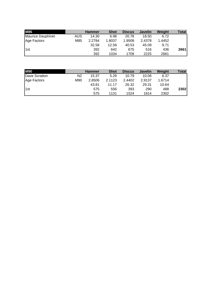| <b>M85</b>        |     | <b>Hammer</b> | <b>Shot</b> | <b>Discus</b> | <b>Javelin</b> | Weight | Total |
|-------------------|-----|---------------|-------------|---------------|----------------|--------|-------|
| Maurice Dauphinet | AUS | 14.30         | 6.98        | 20.78         | 18.50          | 6.72   |       |
| Age Factors       | M85 | 2.2784        | 1.8037      | 1.9508        | 2.4378         | 1.4452 |       |
|                   |     | 32.58         | 12.58       | 40.53         | 45.09          | 9.71   |       |
| 1st               |     | 392           | 642         | 675           | 516            | 436    | 2661  |
|                   |     | 392           | 1034        | 1709          | 2225           | 2661   |       |

| <b>M90</b>    |     | <b>Hammer</b> | <b>Shot</b> | <b>Discus</b> | <b>Javelin</b> | Weight | Total |
|---------------|-----|---------------|-------------|---------------|----------------|--------|-------|
| Dave Scratton | NZ  | 15.37         | 5.29        | 10.79         | 10.06          | 6.37   |       |
| Age Factors   | M90 | 2.8506        | 2.1123      | 2.4402        | 2.9137         | 1.6714 |       |
|               |     | 43.81         | 11.17       | 26.32         | 29.31          | 10.64  |       |
| 1st           |     | 575           | 556         | 393           | 290            | 488    | 2302  |
|               |     | 575           | 1131        | 1524          | 1814           | 2302   |       |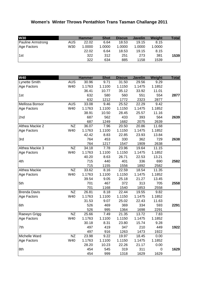### **Women's Winter Throws Pentathlon Trans Tasman Challange 2011**

| <b>W30</b>               |      | <b>Hammer</b> | <b>Shot</b> | <b>Discus</b> | <b>Javelin</b> | Weight | Total |
|--------------------------|------|---------------|-------------|---------------|----------------|--------|-------|
| <b>Pauline Armstrong</b> | AUS. | 22.02         | 6.64        | 18.53         | 19.15          | 8.15   |       |
| Age Factors              | W30  | 1.0000        | 1.0000      | 1.0000        | 1.0000         | 1.0000 |       |
|                          |      | 22.02         | 6.64        | 18.53         | 19.15          | 8.15   |       |
| 1st                      |      | 322           | 312         | 251           | 273            | 381    | 1539  |
|                          |      | 322           | 634         | 885           | 1158           | 1539   |       |

| <b>W40</b>          |                 | <b>Hammer</b> | <b>Shot</b> | <b>Discus</b> | <b>Javelin</b> | Weight | <b>Total</b> |
|---------------------|-----------------|---------------|-------------|---------------|----------------|--------|--------------|
| Lynette Smith       | <b>AUS</b>      | 30.96         | 9.71        | 31.50         | 29.56          | 9.29   |              |
| Age Factors         | W40             | 1.1763        | 1.1100      | 1.1150        | 1.1475         | 1.1852 |              |
|                     |                 | 36.41         | 10.77       | 35.12         | 33.92          | 11.01  |              |
| 1st                 |                 | 632           | 580         | 560           | 551            | 554    | 2877         |
|                     |                 | 632           | 1212        | 1772          | 2323           | 2877   |              |
| Mellissa Bonsor     | <b>AUS</b>      | 33.08         | 9.46        | 25.52         | 22.29          | 9.42   |              |
| Age Factors         | W40             | 1.1763        | 1.1100      | 1.1150        | 1.1475         | 1.1852 |              |
|                     |                 | 38.91         | 10.50       | 28.45         | 25.57          | 11.16  |              |
| 2nd                 |                 | 687           | 562         | 433           | 393            | 564    | 2639         |
|                     |                 | 687           | 1249        | 1682          | 2075           | 2639   |              |
| Althea Mackie 2     | NZ              | 36.07         | 7.96        | 20.50         | 20.86          | 11.68  |              |
| Age Factors         | W40             | 1.1763        | 1.1100      | 1.1150        | 1.1475         | 1.1852 |              |
|                     |                 | 42.42         | 8.83        | 22.85         | 23.93          | 13.84  |              |
| 3rd                 |                 | 764           | 453         | 330           | 362            | 729    | 2638         |
|                     |                 | 764           | 1217        | 1547          | 1909           | 2638   |              |
| Althea Mackie 3     | NZ              | 34.18         | 7.78        | 23.96         | 19.64          | 11.15  |              |
| Age Factors         | W40             | 1.1763        | 1.1100      | 1.1150        | 1.1475         | 1.1852 |              |
|                     |                 | 40.20         | 8.63        | 26.71         | 22.53          | 13.21  |              |
| 4th                 |                 | 715           | 440         | 401           | 336            | 690    | 2582         |
|                     |                 | 715           | 1155        | 1556          | 1892           | 2582   |              |
| Althea Mackie       | NZ              | 33.62         | 8.16        | 22.59         | 18.54          | 11.35  |              |
| Age Factors         | W40             | 1.1763        | 1.1100      | 1.1150        | 1.1475         | 1.1852 |              |
|                     |                 | 39.54         | 9.05        | 25.18         | 21.27          | 13.45  |              |
| 5th                 |                 | 701           | 467         | 372           | 313            | 705    | 2558         |
|                     |                 | 701           | 1168        | 1540          | 1853           | 2558   |              |
| <b>Brenda Davis</b> | NZ              | 26.81         | 8.18        | 22.44         | 19.55          | 9.82   |              |
| Age Factors         | W40             | 1.1763        | 1.1100      | 1.1150        | 1.1475         | 1.1852 |              |
|                     |                 | 31.53         | 9.07        | 25.02         | 22.43          | 11.63  |              |
| 6th                 |                 | 526           | 469         | 369           | 334            | 593    | 2291         |
|                     |                 | 526           | 995         | 1364          | 1698           | 2291   |              |
| Raewyn Grigg        | $\overline{NZ}$ | 25.66         | 7.49        | 21.35         | 13.72          | 7.83   |              |
| Age Factors         | W40             | 1.1763        | 1.1100      | 1.1150        | 1.1475         | 1.1852 |              |
|                     |                 | 30.18         | 8.31        | 23.80         | 15.74          | 9.28   |              |
| 7th                 |                 | 497           | 419         | 347           | 210            | 449    | 1922         |
|                     |                 | 497           | 916         | 1263          | 1473           | 1922   |              |
| Michelle Ward       | <b>NZ</b>       | 23.98         | 9.22        | 19.97         | 18.45          | 0.00   |              |
| Age Factors         | W40             | 1.1763        | 1.1100      | 1.1150        | 1.1475         | 1.1852 |              |
|                     |                 | 28.20         | 10.23       | 22.26         | 21.17          | 0.00   |              |
| 8th                 |                 | 454           | 545         | 319           | 311            | 0      | 1629         |
|                     |                 | 454           | 999         | 1318          | 1629           | 1629   |              |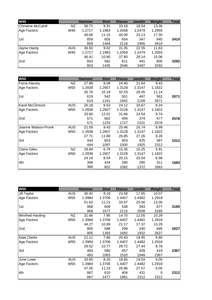| <b>W45</b>                |            | <b>Hammer</b> | <b>Shot</b> | <b>Discus</b> | <b>Javelin</b> | <b>Weight</b> | <b>Total</b> |
|---------------------------|------------|---------------|-------------|---------------|----------------|---------------|--------------|
| <b>Christine McCahill</b> | NZ.        | 36.71         | 9.31        | 33.18         | 18.54          | 13.36         |              |
| Age Factors               | W45        | 1.2717        | 1.1983      | 1.2058        | 1.2479         | 1.2955        |              |
|                           |            | 46.68         | 11.15       | 40.00         | 23.13          | 17.30         |              |
| 1st                       |            | 859           | 605         | 654           | 347            | 945           | 3410         |
|                           |            | 859           | 1464        | 2118          | 2465           | 3410          |              |
| Jayne Hardy               | <b>AUS</b> | 36.50         | 9.02        | 31.35         | 22.55          | 11.63         |              |
| Age Factors               | W45        | 1.2717        | 1.1983      | 1.2058        | 1.2479         | 1.2955        |              |
|                           |            | 46.41         | 10.80       | 37.80         | 28.14          | 15.06         |              |
| 2nd                       |            | 853           | 582         | 611           | 441            | 805           | 3292         |
|                           |            | 853           | 1435        | 2046          | 2487           | 3292          |              |

| <b>W50</b>              |            | <b>Hammer</b> | <b>Shot</b> | <b>Discus</b> | <b>Javelin</b> | Weight | <b>Total</b> |
|-------------------------|------------|---------------|-------------|---------------|----------------|--------|--------------|
| Fiona Harvey            | NZ         | 27.88         | 8.09        | 24.40         | 21.64          | 9.43   |              |
| Age Factors             | W50        | 1.2838        | 1.2607      | 1.3128        | 1.3147         | 1.1822 |              |
|                         |            | 35.79         | 10.19       | 32.03         | 28.45          | 11.14  |              |
| 1st                     |            | 619           | 542         | 501           | 447            | 562    | 2671         |
|                         |            | 619           | 1161        | 1662          | 2109           | 2671   |              |
| <b>Karel McClintock</b> | <b>AUS</b> | 26.18         | 9.53        | 24.12         | 18.67          | 8.24   |              |
| Age Factors             | W50        | 1.2838        | 1.2607      | 1.3128        | 1.3147         | 1.1822 |              |
|                         |            | 33.60         | 12.01       | 31.66         | 24.54          | 9.74   |              |
| 2nd                     |            | 571           | 662         | 494           | 374            | 477    | 2578         |
|                         |            | 571           | 1233        | 1727          | 2101           | 2578   |              |
| Joanne Watson-Pronk     | AUS        | 21.59         | 9.43        | 20.46         | 20.74          | 6.99   |              |
| Age Factors             | W50        | 1.2838        | 1.2607      | 1.3128        | 1.3147         | 1.1822 |              |
|                         |            | 27.71         | 11.88       | 26.85         | 27.26          | 8.26   |              |
| 3rd                     |            | 444           | 653         | 403           | 425            | 387    | 2312         |
|                         |            | 444           | 1097        | 1500          | 1925           | 2312   |              |
| <b>Claire Giles</b>     | <b>NZ</b>  | 18.84         | 6.78        | 15.35         | 15.25          | 5.91   |              |
| Age Factors             | W50        | 1.2838        | 1.2607      | 1.3128        | 1.3147         | 1.1822 |              |
|                         |            | 24.18         | 8.54        | 20.15         | 20.04          | 6.98   |              |
| 4th                     |            | 368           | 434         | 280           | 290            | 311    | 1683         |
|                         |            | 368           | 802         | 1082          | 1372           | 1683   |              |

| <b>W55</b>              |            | <b>Hammer</b> | <b>Shot</b> | <b>Discus</b> | <b>Javelin</b> | Weight | <b>Total</b> |
|-------------------------|------------|---------------|-------------|---------------|----------------|--------|--------------|
| Jill Taylor             | <b>AUS</b> | 36.92         | 8.18        | 23.58         | 17.65          | 10.07  |              |
| Age Factors             | W55        | 1.3984        | 1.3706      | 1.4407        | 1.4482         | 1.2918 |              |
|                         |            | 51.62         | 11.21       | 33.97         | 25.56          | 13.00  |              |
| 1st                     |            | 968           | 609         | 538           | 393            | 677    | 3185         |
|                         |            | 968           | 1577        | 2115          | 2508           | 3185   |              |
| <b>Winifred Harding</b> | NZ         | 31.66         | 7.95        | 14.70         | 12.00          | 10.29  |              |
| Age Factors             | W55        | 1.3984        | 1.3706      | 1.4407        | 1.4482         | 1.2918 |              |
|                         |            | 44.27         | 10.89       | 21.17         | 17.37          | 13.29  |              |
| 2nd                     |            | 805           | 588         | 299           | 240            | 695    | 2627         |
|                         |            | 805           | 1393        | 1692          | 1932           | 2627   |              |
| <b>Kate Clarke</b>      | <b>AUS</b> | 21.11         | 7.86        | 20.63         | 18.95          | 6.80   |              |
| Age Factors             | W55        | 1.3984        | 1.3706      | 1.4407        | 1.4482         | 1.2918 |              |
|                         |            | 29.52         | 10.77       | 29.72         | 27.44          | 8.78   |              |
| 3rd                     |            | 483           | 580         | 457           | 428            | 419    | 2367         |
|                         |            | 483           | 1063        | 1520          | 1948           | 2367   |              |
| June Lowe               | <b>AUS</b> | 33.65         | 8.20        | 18.65         | 19.04          | 0.00   |              |
| Age Factors             | W55        | 1.3984        | 1.3706      | 1.4407        | 1.4482         | 1.2918 |              |
|                         |            | 47.05         | 11.23       | 26.86         | 27.57          | 0.00   |              |
| 4th                     |            | 867           | 610         | 404           | 431            | 0      | 2312         |
|                         |            | 867           | 1477        | 1881          | 2312           | 2312   |              |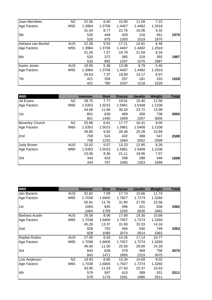| <b>Joan Merrilees</b> | NZ              | 22.56  | 6.40   | 15.80  | 11.09  | 7.22   |      |
|-----------------------|-----------------|--------|--------|--------|--------|--------|------|
| Age Factors           | W <sub>55</sub> | 1.3984 | 1.3706 | 1.4407 | 1.4482 | 1.2918 |      |
|                       |                 | 31.54  | 8.77   | 22.76  | 16.06  | 9.32   |      |
| 5th                   |                 | 526    | 449    | 328    | 216    | 451    | 1970 |
|                       |                 | 526    | 975    | 1303   | 1519   | 1970   |      |
| Adriana van Bockel    | <b>AUS</b>      | 22.36  | 5.53   | 17.21  | 14.91  | 6.46   |      |
| Age Factors           | W <sub>55</sub> | 1.3984 | 1.3706 | 1.4407 | 1.4482 | 1.2918 |      |
|                       |                 | 31.26  | 7.57   | 24.79  | 21.59  | 8.34   |      |
| 6th                   |                 | 520    | 372    | 365    | 318    | 392    | 1967 |
|                       |                 | 520    | 892    | 1257   | 1575   | 1967   |      |
| Karen Jones           | <b>AUS</b>      | 19.05  | 5.38   | 13.08  | 9.79   | 5.40   |      |
| Age Factors           | W <sub>55</sub> | 1.3984 | 1.3706 | 1.4407 | 1.4482 | 1.2918 |      |
|                       |                 | 26.63  | 7.37   | 18.84  | 14.17  | 6.97   |      |
| 7th                   |                 | 421    | 359    | 257    | 181    | 310    | 1528 |
|                       |                 | 421    | 780    | 1037   | 1218   | 1528   |      |

| <b>W60</b>             |            | <b>Hammer</b> | <b>Shot</b> | <b>Discus</b> | <b>Javelin</b> | Weight | <b>Total</b> |
|------------------------|------------|---------------|-------------|---------------|----------------|--------|--------------|
| Jill Evans             | NZ.        | 28.70         | 7.77        | 19.01         | 15.40          | 11.56  |              |
| Age Factors            | W60        | 1.5353        | 1.5015      | 1.5961        | 1.5408         | 1.2108 |              |
|                        |            | 44.06         | 11.66       | 30.34         | 23.72          | 13.99  |              |
| 1st                    |            | 801           | 639         | 469           | 358            | 738    | 3005         |
|                        |            | 801           | 1440        | 1909          | 2267           | 3005   |              |
| <b>Beverley Church</b> | NZ         | 25.96         | 6.61        | 17.77         | 16.41          | 9.00   |              |
| Age Factors            | W60        | 1.5353        | 1.5015      | 1.5961        | 1.5408         | 1.2108 |              |
|                        |            | 39.85         | 9.92        | 28.36         | 25.28          | 10.89  |              |
| 2 <sub>nd</sub>        |            | 708           | 524         | 432           | 388            | 547    | 2599         |
|                        |            | 708           | 1232        | 1664          | 2052           | 2599   |              |
| Judy Brown             | <b>AUS</b> | 15.02         | 5.57        | 13.23         | 12.95          | 6.26   |              |
| Age Factors            | W60        | 1.5353        | 1.5015      | 1.5961        | 1.5408         | 1.2108 |              |
|                        |            | 23.06         | 8.36        | 21.11         | 19.95          | 7.57   |              |
| 3rd                    |            | 344           | 423         | 298           | 288            | 346    | 1699         |
|                        |            | 344           | 767         | 1065          | 1353           | 1699   |              |

| <b>W65</b>     |            | <b>Hammer</b> | <b>Shot</b> | <b>Discus</b> | <b>Javelin</b> | Weight | <b>Total</b> |
|----------------|------------|---------------|-------------|---------------|----------------|--------|--------------|
| Jan Banens     | <b>AUS</b> | 32.82         | 7.09        | 17.74         | 15.66          | 11.74  |              |
| Age Factors    | W65        | 1.7038        | 1.6600      | 1.7927        | 1.7274         | 1.3260 |              |
|                |            | 55.91         | 11.76       | 31.80         | 27.05          | 15.56  |              |
| 1st            |            | 1064          | 645         | 496           | 421            | 836    | 3462         |
|                |            | 1064          | 1709        | 2205          | 2626           | 3462   |              |
| Barbara Austin | <b>AUS</b> | 26.58         | 8.06        | 17.68         | 19.30          | 10.68  |              |
| Age Factors    | W65        | 1.7038        | 1.6600      | 1.7927        | 1.7274         | 1.3260 |              |
|                |            | 45.28         | 13.37       | 31.69         | 33.33          | 14.16  |              |
| 2nd            |            | 828           | 752         | 494           | 540            | 749    | 3363         |
|                |            | 828           | 1580        | 2074          | 2614           | 3363   |              |
| Raylea Rudov   | <b>AUS</b> | 27.00         | 6.93        | 14.26         | 17.14          | 10.77  |              |
| Age Factors    | W65        | 1.7038        | 1.6600      | 1.7927        | 1.7274         | 1.3260 |              |
|                |            | 46.00         | 11.50       | 25.56         | 29.60          | 14.28  |              |
| 3rd            |            | 843           | 628         | 379           | 469            | 756    | 3075         |
|                |            | 843           | 1471        | 1850          | 2319           | 3075   |              |
| Lois Anderson  | NZ         | 19.93         | 6.65        | 15.34         | 14.69          | 8.02   |              |
| Age Factors    | W65        | 1.7038        | 1.6600      | 1.7927        | 1.7274         | 1.3260 |              |
|                |            | 33.95         | 11.03       | 27.50         | 25.37          | 10.63  |              |
| 4th            |            | 579           | 597         | 415           | 389            | 531    | 2511         |
|                |            | 579           | 1176        | 1591          | 1980           | 2511   |              |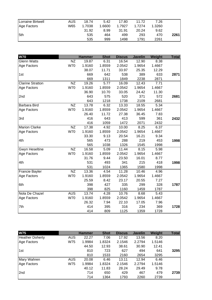| Lorraine Birtwell | AUS | 18.74  | 5.42   | 17.80  | 11.72  | 7.26   |      |
|-------------------|-----|--------|--------|--------|--------|--------|------|
| Age Factors       | W65 | 1.7038 | 1.6600 | 1.7927 | 1.7274 | 1.3260 |      |
|                   |     | 31.92  | 8.99   | 31.91  | 20.24  | 9.62   |      |
| 5th               |     | 535    | 464    | 499    | 293    | 470    | 2261 |
|                   |     | 535    | 999    | 1498   | 1791   | 2261   |      |

| <b>W70</b>              |                 | <b>Hammer</b> | <b>Shot</b> | <b>Discus</b> | <b>Javelin</b> | Weight | <b>Total</b> |
|-------------------------|-----------------|---------------|-------------|---------------|----------------|--------|--------------|
| <b>Glenn Watts</b>      | <b>NZ</b>       | 19.87         | 6.31        | 16.54         | 12.90          | 8.38   |              |
| Age Factors             | <b>W70</b>      | 1.9160        | 1.8559      | 2.0542        | 1.9654         | 1.4667 |              |
|                         |                 | 38.07         | 11.71       | 33.97         | 25.35          | 12.29  |              |
| 1st                     |                 | 669           | 642         | 538           | 389            | 633    | 2871         |
|                         |                 | 669           | 1311        | 1849          | 2238           | 2871   |              |
| <b>Clarine Stratton</b> | <b>NZ</b>       | 19.26         | 5.77        | 16.09         | 12.43          | 7.71   |              |
| Age Factors             | <b>W70</b>      | 1.9160        | 1.8559      | 2.0542        | 1.9654         | 1.4667 |              |
|                         |                 | 36.90         | 10.70       | 33.05         | 24.42          | 11.30  |              |
| 2nd                     |                 | 643           | 575         | 520           | 371            | 572    | 2681         |
|                         |                 | 643           | 1218        | 1738          | 2109           | 2681   |              |
| <b>Barbara Bird</b>     | <b>NZ</b>       | 13.78         | 6.32        | 13.33         | 18.55          | 5.34   |              |
| Age Factors             | <b>W70</b>      | 1.9160        | 1.8559      | 2.0542        | 1.9654         | 1.4667 |              |
|                         |                 | 26.40         | 11.72       | 27.38         | 36.45          | 7.83   |              |
| 3rd                     |                 | 416           | 643         | 413           | 599            | 361    | 2432         |
|                         |                 | 416           | 1059        | 1472          | 2071           | 2432   |              |
| <b>Marion Clarke</b>    | <b>NZ</b>       | 17.38         | 4.92        | 10.00         | 8.25           | 6.37   |              |
| Age Factors             | <b>W70</b>      | 1.9160        | 1.8559      | 2.0542        | 1.9654         | 1.4667 |              |
|                         |                 | 33.30         | 9.13        | 20.54         | 16.21          | 9.34   |              |
| 4th                     |                 | 565           | 473         | 288           | 219            | 453    | 1998         |
|                         |                 | 565           | 1038        | 1326          | 1545           | 1998   |              |
| <b>Gwyn Heseltine</b>   | $\overline{NZ}$ | 16.58         | 5.09        | 11.44         | 8.15           | 5.98   |              |
| Age Factors             | <b>W70</b>      | 1.9160        | 1.8559      | 2.0542        | 1.9654         | 1.4667 |              |
|                         |                 | 31.76         | 9.44        | 23.50         | 16.01          | 8.77   |              |
| 4th                     |                 | 531           | 493         | 341           | 215            | 418    | 1998         |
|                         |                 | 531           | 1024        | 1365          | 1580           | 1998   |              |
| Francie Bayler          | <b>NZ</b>       | 13.36         | 4.54        | 11.28         | 10.46          | 4.96   |              |
| Age Factors             | W70             | 1.9160        | 1.8559      | 2.0542        | 1.9654         | 1.4667 |              |
|                         |                 | 25.59         | 8.42        | 23.17         | 20.55          | 7.27   |              |
| 6th                     |                 | 398           | 427         | 335           | 299            | 328    | 1787         |
|                         |                 | 398           | 825         | 1160          | 1459           | 1787   |              |
| Nola De Chazel          | <b>AUS</b>      | 13.74         | 4.28        | 10.76         | 8.68           | 5.43   |              |
| Age Factors             | <b>W70</b>      | 1.9160        | 1.8559      | 2.0542        | 1.9654         | 1.4667 |              |
|                         |                 | 26.32         | 7.94        | 22.10         | 17.05          | 7.96   |              |
| 7th                     |                 | 414           | 395         | 316           | 234            | 369    | 1728         |
|                         |                 | 414           | 809         | 1125          | 1359           | 1728   |              |

| <b>W75</b>             |            | <b>Hammer</b> | <b>Shot</b> | <b>Discus</b> | <b>Javelin</b> | Weight | <b>Total</b> |
|------------------------|------------|---------------|-------------|---------------|----------------|--------|--------------|
| <b>Heather Doherty</b> | AUS        | 22.27         | 7.06        | 17.92         | 13.56          | 8.20   |              |
| Age Factors            | W75        | 1.9984        | 1.8324      | 2.1546        | 2.2794         | 1.5146 |              |
|                        |            | 44.50         | 12.93       | 38.61         | 30.90          | 12.41  |              |
| 1st                    |            | 810           | 723         | 627           | 494            | 641    | 3295         |
|                        |            | 810           | 1533        | 2160          | 2654           | 3295   |              |
| Mary Wahren            | <b>AUS</b> | 20.08         | 6.46        | 13.11         | 12.94          | 6.46   |              |
| Age Factors            | W75        | 1.9984        | 1.8324      | 2.1546        | 2.2794         | 1.5146 |              |
|                        |            | 40.12         | 11.83       | 28.24         | 29.49          | 9.78   |              |
| 2 <sub>nd</sub>        |            | 714           | 650         | 429           | 467            | 479    | 2739         |
|                        |            | 714           | 1364        | 1793          | 2260           | 2739   |              |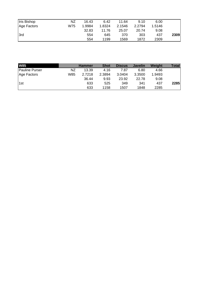| <b>Iris Bishop</b> | ΝZ  | 16.43  | 6.42   | 11.64  | 9.10   | 6.00   |      |
|--------------------|-----|--------|--------|--------|--------|--------|------|
| Age Factors        | W75 | 1.9984 | 1.8324 | 2.1546 | 2.2794 | 1.5146 |      |
|                    |     | 32.83  | 11.76  | 25.07  | 20.74  | 9.08   |      |
| 3rd                |     | 554    | 645    | 370    | 303    | 437    | 2309 |
|                    |     | 554    | 1199   | 1569   | 1872   | 2309   |      |

| <b>W85</b>            |     | <b>Hammer</b> | <b>Shot</b> | <b>Discus</b> | <b>Javelin</b> | Weight | Total |
|-----------------------|-----|---------------|-------------|---------------|----------------|--------|-------|
| <b>Pauline Purser</b> | NZ  | 13.39         | 4.16        | 7.87          | 6.80           | 4.66   |       |
| Age Factors           | W85 | 2.7218        | 2.3894      | 3.0404        | 3.3500         | 1.9493 |       |
|                       |     | 36.44         | 9.93        | 23.92         | 22.78          | 9.08   |       |
| 1st                   |     | 633           | 525         | 349           | 341            | 437    | 2285  |
|                       |     | 633           | 1158        | 1507          | 1848           | 2285   |       |